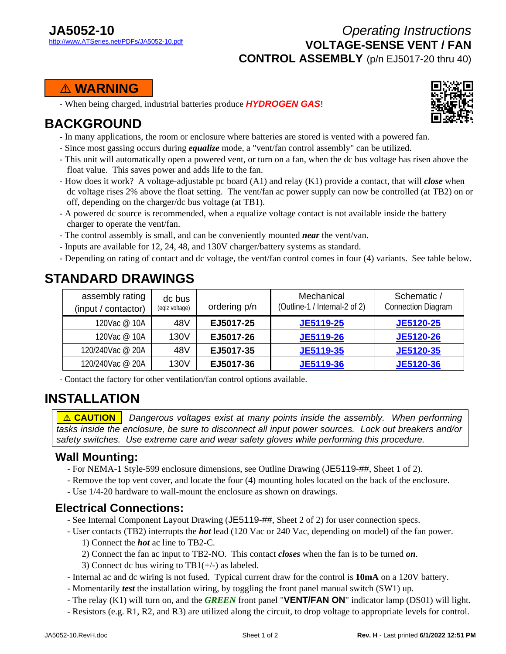### *Operating Instructions* **VOLTAGE-SENSE VENT / FAN CONTROL ASSEMBLY** (p/n EJ5017-20 thru 40)

#### **....**! **WARNING....**

- When being charged, industrial batteries produce *HYDROGEN GAS*!

# **BACKGROUND**

- In many applications, the room or enclosure where batteries are stored is vented with a powered fan.
- Since most gassing occurs during *equalize* mode, a "vent/fan control assembly" can be utilized.
- This unit will automatically open a powered vent, or turn on a fan, when the dc bus voltage has risen above the float value. This saves power and adds life to the fan.
- How does it work? A voltage-adjustable pc board (A1) and relay (K1) provide a contact, that will *close* when dc voltage rises 2% above the float setting. The vent/fan ac power supply can now be controlled (at TB2) on or off, depending on the charger/dc bus voltage (at TB1).
- A powered dc source is recommended, when a equalize voltage contact is not available inside the battery charger to operate the vent/fan.
- The control assembly is small, and can be conveniently mounted *near* the vent/van.
- Inputs are available for 12, 24, 48, and 130V charger/battery systems as standard.
- Depending on rating of contact and dc voltage, the vent/fan control comes in four (4) variants. See table below.

# **STANDARD DRAWINGS**

| assembly rating<br>(input / contactor) | dc bus<br>(eqlz voltage) | ordering p/n | Mechanical<br>(Outline-1 / Internal-2 of 2) | Schematic /<br><b>Connection Diagram</b> |
|----------------------------------------|--------------------------|--------------|---------------------------------------------|------------------------------------------|
| 120Vac @ 10A                           | 48V                      | EJ5017-25    | <b>JE5119-25</b>                            | <b>JE5120-25</b>                         |
| 120Vac @ 10A                           | 130V                     | EJ5017-26    | <b>JE5119-26</b>                            | JE5120-26                                |
| 120/240Vac @ 20A                       | 48V                      | EJ5017-35    | JE5119-35                                   | JE5120-35                                |
| 120/240Vac @ 20A                       | 130V                     | EJ5017-36    | <b>JE5119-36</b>                            | JE5120-36                                |

- Contact the factory for other ventilation/fan control options available.

# **INSTALLATION**

*A* **CAUTION** | Dangerous voltages exist at many points inside the assembly. When performing *tasks inside the enclosure, be sure to disconnect all input power sources. Lock out breakers and/or safety switches. Use extreme care and wear safety gloves while performing this procedure.*

#### **Wall Mounting:**

- For NEMA-1 Style-599 enclosure dimensions, see Outline Drawing (JE5119-##, Sheet 1 of 2).
- Remove the top vent cover, and locate the four (4) mounting holes located on the back of the enclosure.
- Use 1/4-20 hardware to wall-mount the enclosure as shown on drawings.

#### **Electrical Connections:**

- See Internal Component Layout Drawing (JE5119-##, Sheet 2 of 2) for user connection specs.
- User contacts (TB2) interrupts the *hot* lead (120 Vac or 240 Vac, depending on model) of the fan power.
	- 1) Connect the *hot* ac line to TB2-C.
	- 2) Connect the fan ac input to TB2-NO. This contact *closes* when the fan is to be turned *on*.
	- 3) Connect dc bus wiring to  $TB1(+/-)$  as labeled.
- Internal ac and dc wiring is not fused. Typical current draw for the control is **10mA** on a 120V battery.
- Momentarily *test* the installation wiring, by toggling the front panel manual switch (SW1) up.
- The relay (K1) will turn on, and the *GREEN* front panel "**VENT/FAN ON**" indicator lamp (DS01) will light.
- Resistors (e.g. R1, R2, and R3) are utilized along the circuit, to drop voltage to appropriate levels for control.